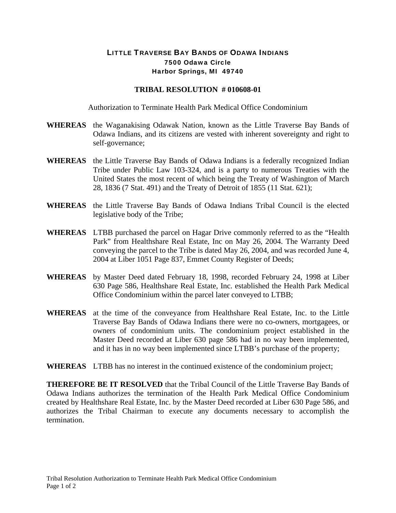## LITTLE TRAVERSE BAY BANDS OF ODAWA INDIANS 7500 Odawa Circle Harbor Springs, MI 49740

## **TRIBAL RESOLUTION # 010608-01**

Authorization to Terminate Health Park Medical Office Condominium

- **WHEREAS** the Waganakising Odawak Nation, known as the Little Traverse Bay Bands of Odawa Indians, and its citizens are vested with inherent sovereignty and right to self-governance;
- **WHEREAS** the Little Traverse Bay Bands of Odawa Indians is a federally recognized Indian Tribe under Public Law 103-324, and is a party to numerous Treaties with the United States the most recent of which being the Treaty of Washington of March 28, 1836 (7 Stat. 491) and the Treaty of Detroit of 1855 (11 Stat. 621);
- **WHEREAS** the Little Traverse Bay Bands of Odawa Indians Tribal Council is the elected legislative body of the Tribe;
- **WHEREAS** LTBB purchased the parcel on Hagar Drive commonly referred to as the "Health Park" from Healthshare Real Estate, Inc on May 26, 2004. The Warranty Deed conveying the parcel to the Tribe is dated May 26, 2004, and was recorded June 4, 2004 at Liber 1051 Page 837, Emmet County Register of Deeds;
- **WHEREAS** by Master Deed dated February 18, 1998, recorded February 24, 1998 at Liber 630 Page 586, Healthshare Real Estate, Inc. established the Health Park Medical Office Condominium within the parcel later conveyed to LTBB;
- **WHEREAS** at the time of the conveyance from Healthshare Real Estate, Inc. to the Little Traverse Bay Bands of Odawa Indians there were no co-owners, mortgagees, or owners of condominium units. The condominium project established in the Master Deed recorded at Liber 630 page 586 had in no way been implemented, and it has in no way been implemented since LTBB's purchase of the property;

## **WHEREAS** LTBB has no interest in the continued existence of the condominium project;

**THEREFORE BE IT RESOLVED** that the Tribal Council of the Little Traverse Bay Bands of Odawa Indians authorizes the termination of the Health Park Medical Office Condominium created by Healthshare Real Estate, Inc. by the Master Deed recorded at Liber 630 Page 586, and authorizes the Tribal Chairman to execute any documents necessary to accomplish the termination.